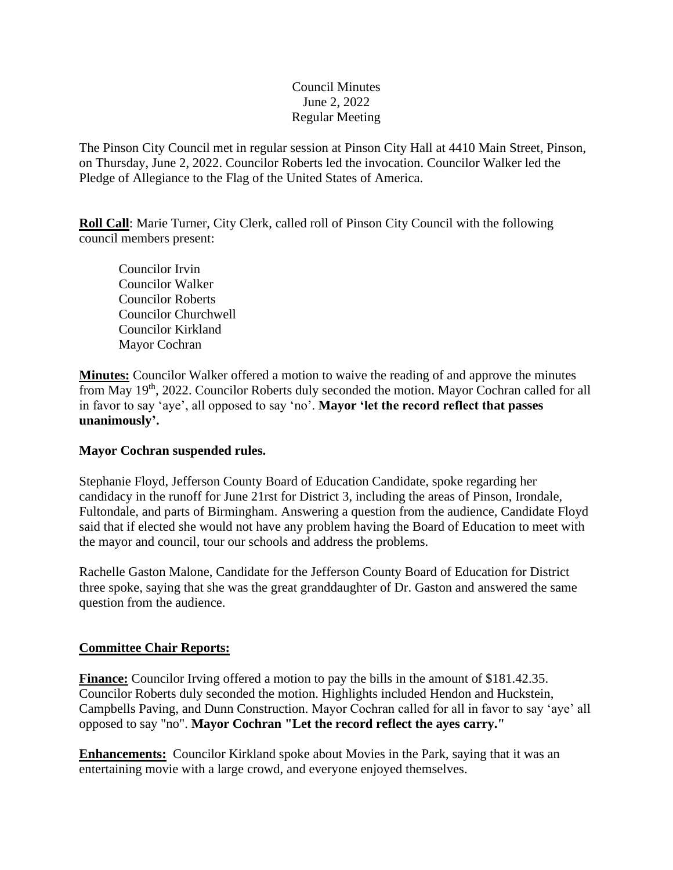## Council Minutes June 2, 2022 Regular Meeting

The Pinson City Council met in regular session at Pinson City Hall at 4410 Main Street, Pinson, on Thursday, June 2, 2022. Councilor Roberts led the invocation. Councilor Walker led the Pledge of Allegiance to the Flag of the United States of America.

**Roll Call**: Marie Turner, City Clerk, called roll of Pinson City Council with the following council members present:

Councilor Irvin Councilor Walker Councilor Roberts Councilor Churchwell Councilor Kirkland Mayor Cochran

**Minutes:** Councilor Walker offered a motion to waive the reading of and approve the minutes from May 19<sup>th</sup>, 2022. Councilor Roberts duly seconded the motion. Mayor Cochran called for all in favor to say 'aye', all opposed to say 'no'. **Mayor 'let the record reflect that passes unanimously'.**

#### **Mayor Cochran suspended rules.**

Stephanie Floyd, Jefferson County Board of Education Candidate, spoke regarding her candidacy in the runoff for June 21rst for District 3, including the areas of Pinson, Irondale, Fultondale, and parts of Birmingham. Answering a question from the audience, Candidate Floyd said that if elected she would not have any problem having the Board of Education to meet with the mayor and council, tour our schools and address the problems.

Rachelle Gaston Malone, Candidate for the Jefferson County Board of Education for District three spoke, saying that she was the great granddaughter of Dr. Gaston and answered the same question from the audience.

# **Committee Chair Reports:**

**Finance:** Councilor Irving offered a motion to pay the bills in the amount of \$181.42.35. Councilor Roberts duly seconded the motion. Highlights included Hendon and Huckstein, Campbells Paving, and Dunn Construction. Mayor Cochran called for all in favor to say 'aye' all opposed to say "no". **Mayor Cochran "Let the record reflect the ayes carry."**

**Enhancements:** Councilor Kirkland spoke about Movies in the Park, saying that it was an entertaining movie with a large crowd, and everyone enjoyed themselves.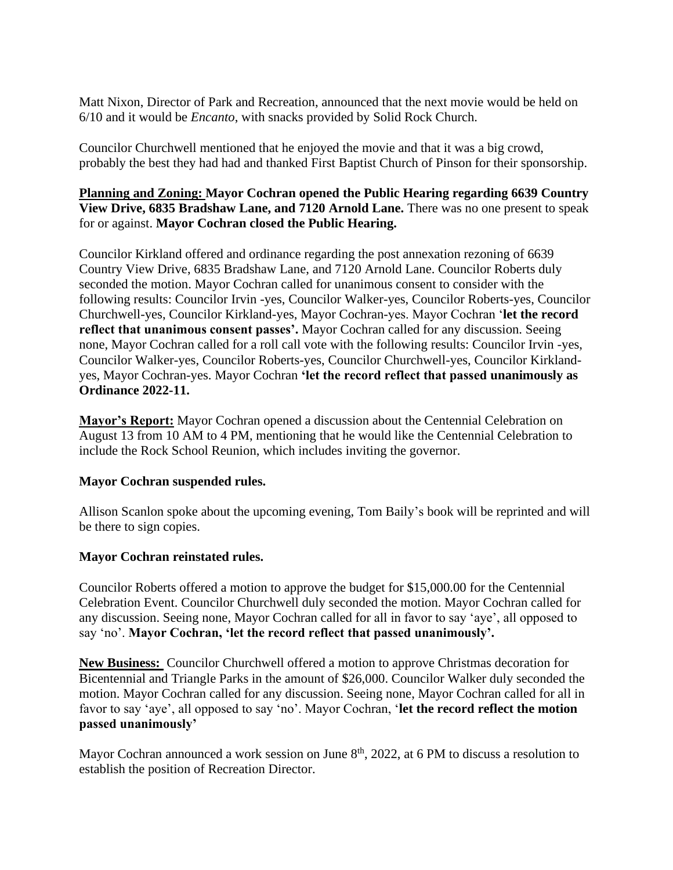Matt Nixon, Director of Park and Recreation, announced that the next movie would be held on 6/10 and it would be *Encanto*, with snacks provided by Solid Rock Church.

Councilor Churchwell mentioned that he enjoyed the movie and that it was a big crowd, probably the best they had had and thanked First Baptist Church of Pinson for their sponsorship.

## **Planning and Zoning: Mayor Cochran opened the Public Hearing regarding 6639 Country View Drive, 6835 Bradshaw Lane, and 7120 Arnold Lane.** There was no one present to speak for or against. **Mayor Cochran closed the Public Hearing.**

Councilor Kirkland offered and ordinance regarding the post annexation rezoning of 6639 Country View Drive, 6835 Bradshaw Lane, and 7120 Arnold Lane. Councilor Roberts duly seconded the motion. Mayor Cochran called for unanimous consent to consider with the following results: Councilor Irvin -yes, Councilor Walker-yes, Councilor Roberts-yes, Councilor Churchwell-yes, Councilor Kirkland-yes, Mayor Cochran-yes. Mayor Cochran '**let the record reflect that unanimous consent passes'.** Mayor Cochran called for any discussion. Seeing none, Mayor Cochran called for a roll call vote with the following results: Councilor Irvin -yes, Councilor Walker-yes, Councilor Roberts-yes, Councilor Churchwell-yes, Councilor Kirklandyes, Mayor Cochran-yes. Mayor Cochran **'let the record reflect that passed unanimously as Ordinance 2022-11.**

**Mayor's Report:** Mayor Cochran opened a discussion about the Centennial Celebration on August 13 from 10 AM to 4 PM, mentioning that he would like the Centennial Celebration to include the Rock School Reunion, which includes inviting the governor.

# **Mayor Cochran suspended rules.**

Allison Scanlon spoke about the upcoming evening, Tom Baily's book will be reprinted and will be there to sign copies.

# **Mayor Cochran reinstated rules.**

Councilor Roberts offered a motion to approve the budget for \$15,000.00 for the Centennial Celebration Event. Councilor Churchwell duly seconded the motion. Mayor Cochran called for any discussion. Seeing none, Mayor Cochran called for all in favor to say 'aye', all opposed to say 'no'. **Mayor Cochran, 'let the record reflect that passed unanimously'.**

**New Business:** Councilor Churchwell offered a motion to approve Christmas decoration for Bicentennial and Triangle Parks in the amount of \$26,000. Councilor Walker duly seconded the motion. Mayor Cochran called for any discussion. Seeing none, Mayor Cochran called for all in favor to say 'aye', all opposed to say 'no'. Mayor Cochran, '**let the record reflect the motion passed unanimously'**

Mayor Cochran announced a work session on June 8<sup>th</sup>, 2022, at 6 PM to discuss a resolution to establish the position of Recreation Director.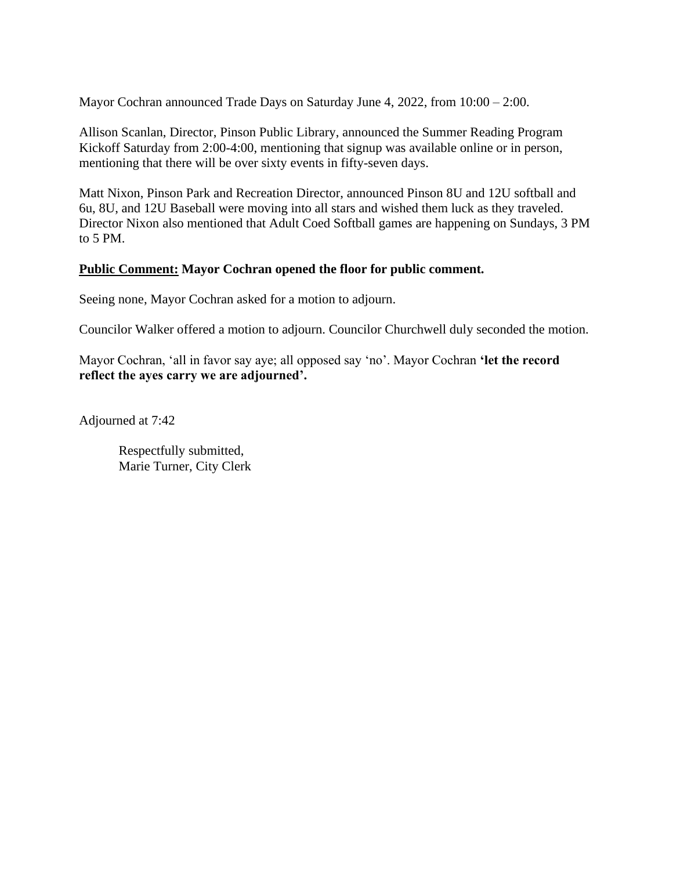Mayor Cochran announced Trade Days on Saturday June 4, 2022, from 10:00 – 2:00.

Allison Scanlan, Director, Pinson Public Library, announced the Summer Reading Program Kickoff Saturday from 2:00-4:00, mentioning that signup was available online or in person, mentioning that there will be over sixty events in fifty-seven days.

Matt Nixon, Pinson Park and Recreation Director, announced Pinson 8U and 12U softball and 6u, 8U, and 12U Baseball were moving into all stars and wished them luck as they traveled. Director Nixon also mentioned that Adult Coed Softball games are happening on Sundays, 3 PM to 5 PM.

#### **Public Comment: Mayor Cochran opened the floor for public comment.**

Seeing none, Mayor Cochran asked for a motion to adjourn.

Councilor Walker offered a motion to adjourn. Councilor Churchwell duly seconded the motion.

Mayor Cochran, 'all in favor say aye; all opposed say 'no'. Mayor Cochran **'let the record reflect the ayes carry we are adjourned'.** 

Adjourned at 7:42

Respectfully submitted, Marie Turner, City Clerk